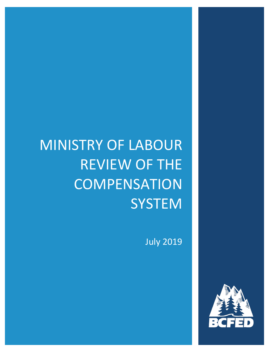# MINISTRY OF LABOUR REVIEW OF THE **COMPENSATION SYSTEM**

July 2019

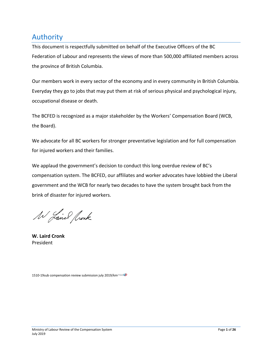## Authority

This document is respectfully submitted on behalf of the Executive Officers of the BC Federation of Labour and represents the views of more than 500,000 affiliated members across the province of British Columbia.

Our members work in every sector of the economy and in every community in British Columbia. Everyday they go to jobs that may put them at risk of serious physical and psychological injury, occupational disease or death.

The BCFED is recognized as a major stakeholder by the Workers' Compensation Board (WCB, the Board).

We advocate for all BC workers for stronger preventative legislation and for full compensation for injured workers and their families.

We applaud the government's decision to conduct this long overdue review of BC's compensation system. The BCFED, our affiliates and worker advocates have lobbied the Liberal government and the WCB for nearly two decades to have the system brought back from the brink of disaster for injured workers.

W Laired Rock

**W. Laird Cronk** President

1510-19sub compensation review submission july 2019/km<sup>movel</sup>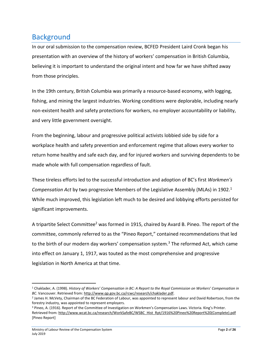## **Background**

In our oral submission to the compensation review, BCFED President Laird Cronk began his presentation with an overview of the history of workers' compensation in British Columbia, believing it is important to understand the original intent and how far we have shifted away from those principles.

In the 19th century, British Columbia was primarily a resource-based economy, with logging, fishing, and mining the largest industries. Working conditions were deplorable, including nearly non-existent health and safety protections for workers, no employer accountability or liability, and very little government oversight.

From the beginning, labour and progressive political activists lobbied side by side for a workplace health and safety prevention and enforcement regime that allows every worker to return home healthy and safe each day, and for injured workers and surviving dependents to be made whole with full compensation regardless of fault.

These tireless efforts led to the successful introduction and adoption of BC's first *Workmen's Compensation Act* by two progressive Members of the Legislative Assembly (MLAs) in 1902.<sup>1</sup> While much improved, this legislation left much to be desired and lobbying efforts persisted for significant improvements.

A tripartite Select Committee<sup>2</sup> was formed in 1915, chaired by Avard B. Pineo. The report of the committee, commonly referred to as the "Pineo Report," contained recommendations that led to the birth of our modern day workers' compensation system.<sup>3</sup> The reformed Act, which came into effect on January 1, 1917, was touted as the most comprehensive and progressive legislation in North America at that time.

<sup>1</sup> Chaklader, A. (1998). *History of Workers' Compensation in BC: A Report to the Royal Commission on Workers' Compensation in BC*. Vancouver. Retrieved from: [http://www.qp.gov.bc.ca/rcwc/research/chaklader.pdf.](http://www.qp.gov.bc.ca/rcwc/research/chaklader.pdf)

<sup>2</sup> James H. McVety, Chairman of the BC Federation of Labour, was appointed to represent labour and David Robertson, from the forestry industry, was appointed to represent employers.

<sup>3</sup> Pineo, A. (1916). Report of the Committee of Investigation on Workmen's Compensation Laws. Victoria. King's Printer. Retrieved from[: http://www.wcat.bc.ca/research/WorkSafeBC/WSBC\\_Hist\\_Rpt/1916%20Pineo%20Report%20\(Complete\).pdf](http://www.wcat.bc.ca/research/WorkSafeBC/WSBC_Hist_Rpt/1916%20Pineo%20Report%20(Complete).pdf) [Pineo Report]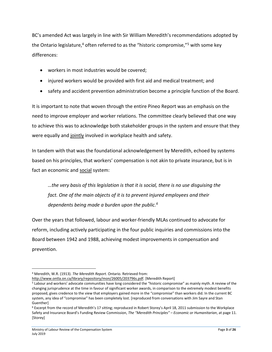BC's amended Act was largely in line with Sir William Meredith's recommendations adopted by the Ontario legislature,<sup>4</sup> often referred to as the "historic compromise,"<sup>5</sup> with some key differences:

- workers in most industries would be covered;
- injured workers would be provided with first aid and medical treatment; and
- safety and accident prevention administration become a principle function of the Board.

It is important to note that woven through the entire Pineo Report was an emphasis on the need to improve employer and worker relations. The committee clearly believed that one way to achieve this was to acknowledge both stakeholder groups in the system and ensure that they were equally and jointly involved in workplace health and safety.

In tandem with that was the foundational acknowledgement by Meredith, echoed by systems based on his principles, that workers' compensation is not akin to private insurance, but is in fact an economic and social system:

*…the very basis of this legislation is that it is social, there is no use disguising the fact. One of the main objects of it is to prevent injured employees and their dependents being made a burden upon the public.<sup>6</sup>*

Over the years that followed, labour and worker-friendly MLAs continued to advocate for reform, including actively participating in the four public inquiries and commissions into the Board between 1942 and 1988, achieving modest improvements in compensation and prevention.

<sup>4</sup> Meredith, W.R. (1913). *The Meredith Report*. Ontario. Retrieved from:

[http://www.ontla.on.ca/library/repository/mon/26005/203796s.pdf.](http://www.ontla.on.ca/library/repository/mon/26005/203796s.pdf) [Meredith Report]

<sup>5</sup> Labour and workers' advocate communities have long considered the "historic compromise" as mainly myth. A review of the changing jurisprudence at the time in favour of significant worker awards, in comparison to the extremely modest benefits proposed, gives credence to the view that employers gained more in the "compromise" than workers did. In the current BC system, any idea of "compromise" has been completely lost. [reproduced from conversations with Jim Sayre and Stan Guenther]

<sup>6</sup> Excerpt from the record of Meredith's 17 sitting; reproduced in Robert Storey's April 18, 2011 submission to the Workplace Safety and Insurance Board's Funding Review Commission, *The "Meredith Principles" – Economic or Humanitarian*, at page 11. [Storey]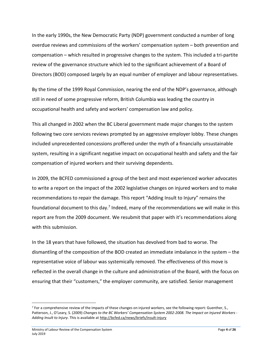In the early 1990s, the New Democratic Party (NDP) government conducted a number of long overdue reviews and commissions of the workers' compensation system – both prevention and compensation – which resulted in progressive changes to the system. This included a tri-partite review of the governance structure which led to the significant achievement of a Board of Directors (BOD) composed largely by an equal number of employer and labour representatives.

By the time of the 1999 Royal Commission, nearing the end of the NDP's governance, although still in need of some progressive reform, British Columbia was leading the country in occupational health and safety and workers' compensation law and policy.

This all changed in 2002 when the BC Liberal government made major changes to the system following two core services reviews prompted by an aggressive employer lobby. These changes included unprecedented concessions proffered under the myth of a financially unsustainable system, resulting in a significant negative impact on occupational health and safety and the fair compensation of injured workers and their surviving dependents.

In 2009, the BCFED commissioned a group of the best and most experienced worker advocates to write a report on the impact of the 2002 legislative changes on injured workers and to make recommendations to repair the damage. This report "Adding Insult to Injury" remains the foundational document to this day.<sup>7</sup> Indeed, many of the recommendations we will make in this report are from the 2009 document. We resubmit that paper with it's recommendations along with this submission.

In the 18 years that have followed, the situation has devolved from bad to worse. The dismantling of the composition of the BOD created an immediate imbalance in the system – the representative voice of labour was systemically removed. The effectiveness of this move is reflected in the overall change in the culture and administration of the Board, with the focus on ensuring that their "customers," the employer community, are satisfied. Senior management

<sup>7</sup> For a comprehensive review of the impacts of these changes on injured workers, see the following report: Guenther, S., Patterson, J., O'Leary, S. (2009) *Changes to the BC Workers' Compensation System 2002-2008. The Impact on Injured Workers - Adding Insult to Injury*. This is available at<http://bcfed.ca/news/briefs/insult-injury>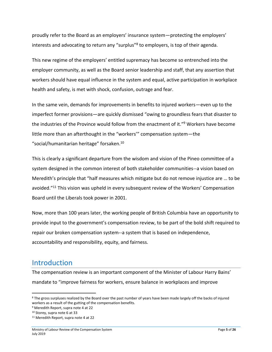proudly refer to the Board as an employers' insurance system—protecting the employers' interests and advocating to return any "surplus"<sup>8</sup> to employers, is top of their agenda.

This new regime of the employers' entitled supremacy has become so entrenched into the employer community, as well as the Board senior leadership and staff, that any assertion that workers should have equal influence in the system and equal, active participation in workplace health and safety, is met with shock, confusion, outrage and fear.

In the same vein, demands for improvements in benefits to injured workers—even up to the imperfect former provisions—are quickly dismissed "owing to groundless fears that disaster to the industries of the Province would follow from the enactment of it." <sup>9</sup> Workers have become little more than an afterthought in the "workers'" compensation system—the "social/humanitarian heritage" forsaken.<sup>10</sup>

This is clearly a significant departure from the wisdom and vision of the Pineo committee of a system designed in the common interest of both stakeholder communities--a vision based on Meredith's principle that "half measures which mitigate but do not remove injustice are … to be avoided."<sup>11</sup> This vision was upheld in every subsequent review of the Workers' Compensation Board until the Liberals took power in 2001.

Now, more than 100 years later, the working people of British Columbia have an opportunity to provide input to the government's compensation review, to be part of the bold shift required to repair our broken compensation system--a system that is based on independence, accountability and responsibility, equity, and fairness.

### Introduction

 $\overline{a}$ 

The compensation review is an important component of the Minister of Labour Harry Bains' mandate to "improve fairness for workers, ensure balance in workplaces and improve

<sup>&</sup>lt;sup>8</sup> The gross surpluses realized by the Board over the past number of years have been made largely off the backs of injured workers as a result of the gutting of the compensation benefits.

<sup>9</sup> Meredith Report, supra note 4 at 22

<sup>10</sup> Storey, supra note 6 at 33

<sup>11</sup> Meredith Report, supra note 4 at 22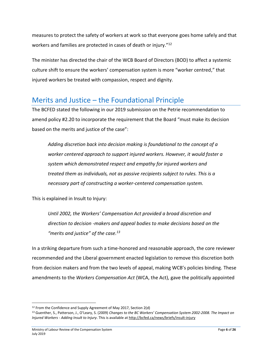measures to protect the safety of workers at work so that everyone goes home safely and that workers and families are protected in cases of death or injury."<sup>12</sup>

The minister has directed the chair of the WCB Board of Directors (BOD) to affect a systemic culture shift to ensure the workers' compensation system is more "worker centred," that injured workers be treated with compassion, respect and dignity.

## Merits and Justice – the Foundational Principle

The BCFED stated the following in our 2019 submission on the Petrie recommendation to amend policy #2.20 to incorporate the requirement that the Board "must make its decision based on the merits and justice of the case":

*Adding discretion back into decision making is foundational to the concept of a worker centered approach to support injured workers. However, it would foster a system which demonstrated respect and empathy for injured workers and treated them as individuals, not as passive recipients subject to rules. This is a necessary part of constructing a worker-centered compensation system.*

This is explained in Insult to Injury:

*Until 2002, the Workers' Compensation Act provided a broad discretion and direction to decision -makers and appeal bodies to make decisions based on the "merits and justice" of the case.<sup>13</sup>*

In a striking departure from such a time-honored and reasonable approach, the core reviewer recommended and the Liberal government enacted legislation to remove this discretion both from decision makers and from the two levels of appeal, making WCB's policies binding. These amendments to the *Workers Compensation Act* (WCA, the Act), gave the politically appointed

<sup>&</sup>lt;sup>12</sup> From the Confidence and Supply Agreement of May 2017, Section 2(d)

<sup>13</sup> Guenther, S., Patterson, J., O'Leary, S. (2009) *Changes to the BC Workers' Compensation System 2002-2008. The Impact on Injured Workers - Adding Insult to Injury*. This is available a[t http://bcfed.ca/news/briefs/insult-injury](http://bcfed.ca/news/briefs/insult-injury)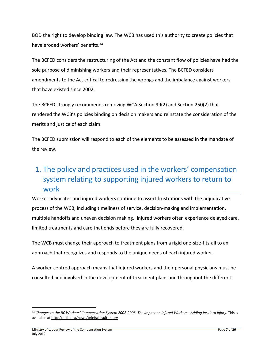BOD the right to develop binding law. The WCB has used this authority to create policies that have eroded workers' benefits.<sup>14</sup>

The BCFED considers the restructuring of the Act and the constant flow of policies have had the sole purpose of diminishing workers and their representatives. The BCFED considers amendments to the Act critical to redressing the wrongs and the imbalance against workers that have existed since 2002.

The BCFED strongly recommends removing WCA Section 99(2) and Section 250(2) that rendered the WCB's policies binding on decision makers and reinstate the consideration of the merits and justice of each claim.

The BCFED submission will respond to each of the elements to be assessed in the mandate of the review.

# 1. The policy and practices used in the workers' compensation system relating to supporting injured workers to return to work

Worker advocates and injured workers continue to assert frustrations with the adjudicative process of the WCB, including timeliness of service, decision-making and implementation, multiple handoffs and uneven decision making. Injured workers often experience delayed care, limited treatments and care that ends before they are fully recovered.

The WCB must change their approach to treatment plans from a rigid one-size-fits-all to an approach that recognizes and responds to the unique needs of each injured worker.

A worker-centred approach means that injured workers and their personal physicians must be consulted and involved in the development of treatment plans and throughout the different

<sup>14</sup> *Changes to the BC Workers' Compensation System 2002-2008. The Impact on Injured Workers - Adding Insult to Injury*. This is available at<http://bcfed.ca/news/briefs/insult-injury>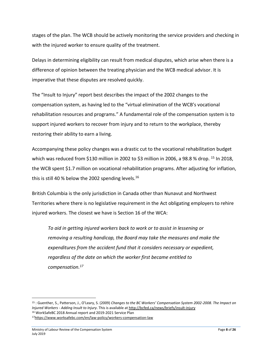stages of the plan. The WCB should be actively monitoring the service providers and checking in with the injured worker to ensure quality of the treatment.

Delays in determining eligibility can result from medical disputes, which arise when there is a difference of opinion between the treating physician and the WCB medical advisor. It is imperative that these disputes are resolved quickly.

The "Insult to Injury" report best describes the impact of the 2002 changes to the compensation system, as having led to the "virtual elimination of the WCB's vocational rehabilitation resources and programs." A fundamental role of the compensation system is to support injured workers to recover from injury and to return to the workplace, thereby restoring their ability to earn a living.

Accompanying these policy changes was a drastic cut to the vocational rehabilitation budget which was reduced from \$130 million in 2002 to \$3 million in 2006, a 98.8 % drop. <sup>15</sup> In 2018, the WCB spent \$1.7 million on vocational rehabilitation programs. After adjusting for inflation, this is still 40 % below the 2002 spending levels.<sup>16</sup>

British Columbia is the only jurisdiction in Canada other than Nunavut and Northwest Territories where there is no legislative requirement in the Act obligating employers to rehire injured workers. The closest we have is Section 16 of the WCA:

*To aid in getting injured workers back to work or to assist in lessening or removing a resulting handicap, the Board may take the measures and make the expenditures from the accident fund that it considers necessary or expedient, regardless of the date on which the worker first became entitled to compensation.<sup>17</sup>*

<sup>15</sup> : Guenther, S., Patterson, J., O'Leary, S. (2009) *Changes to the BC Workers' Compensation System 2002-2008. The Impact on Injured Workers - Adding Insult to Injury*. This is available a[t http://bcfed.ca/news/briefs/insult-injury](http://bcfed.ca/news/briefs/insult-injury) <sup>16</sup> WorkSafeBC 2018 Annual report and 2019-2021 Service Plan

<sup>17</sup><https://www.worksafebc.com/en/law-policy/workers-compensation-law>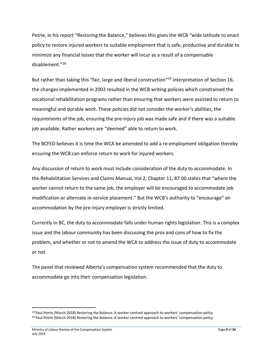Petrie, in his report "Restoring the Balance," believes this gives the WCB "wide latitude to enact policy to restore injured workers to suitable employment that is safe, productive and durable to minimize any financial losses that the worker will incur as a result of a compensable disablement."<sup>18</sup>

But rather than taking this "fair, large and liberal construction"<sup>19</sup> interpretation of Section 16, the changes implemented in 2002 resulted in the WCB writing policies which constrained the vocational rehabilitation programs rather than ensuring that workers were assisted to return to meaningful and durable work. These policies did not consider the worker's abilities, the requirements of the job, ensuring the pre-injury job was made safe and if there was a suitable job available. Rather workers are "deemed" able to return to work.

The BCFED believes it is time the WCA be amended to add a re-employment obligation thereby ensuring the WCB can enforce return to work for injured workers.

Any discussion of return to work must include consideration of the duty to accommodate. In the Rehabilitation Services and Claims Manual, Vol 2, Chapter 11, 87.00 states that "where the worker cannot return to the same job, the employer will be encouraged to accommodate job modification or alternate in-service placement." But the WCB's authority to "encourage" an accommodation by the pre-injury employer is strictly limited.

Currently in BC, the duty to accommodate falls under human rights legislation. This is a complex issue and the labour community has been discussing the pros and cons of how to fix the problem, and whether or not to amend the WCA to address the issue of duty to accommodate or not.

The panel that reviewed Alberta's compensation system recommended that the duty to accommodate go into their compensation legislation.

<sup>18</sup> Paul Petrie (March 2018) Restoring the Balance: A worker-centred approach to workers' compensation policy <sup>19</sup> Paul Petrie (March 2018) Restoring the Balance: A worker-centred approach to workers' compensation policy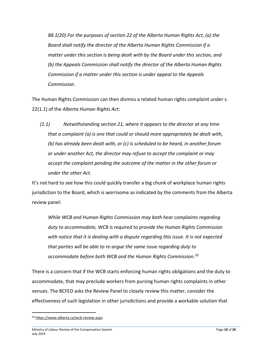*88.1(20) For the purposes of section 22 of the Alberta Human Rights Act, (a) the Board shall notify the director of the Alberta Human Rights Commission if a matter under this section is being dealt with by the Board under this section, and (b) the Appeals Commission shall notify the director of the Alberta Human Rights Commission if a matter under this section is under appeal to the Appeals Commission.*

The Human Rights Commission can then dismiss a related human rights complaint under s. 22(1.1) of the *Alberta Human Rights Act*:

*(1.1) Notwithstanding section 21, where it appears to the director at any time that a complaint (a) is one that could or should more appropriately be dealt with, (b) has already been dealt with, or (c) is scheduled to be heard, in another forum or under another Act, the director may refuse to accept the complaint or may accept the complaint pending the outcome of the matter in the other forum or under the other Act.*

It's not hard to see how this could quickly transfer a big chunk of workplace human rights jurisdiction to the Board, which is worrisome as indicated by the comments from the Alberta review panel:

*While WCB and Human Rights Commission may both hear complaints regarding duty to accommodate, WCB is required to provide the Human Rights Commission with notice that it is dealing with a dispute regarding this issue. It is not expected that parties will be able to re-argue the same issue regarding duty to accommodate before both WCB and the Human Rights Commission.<sup>20</sup>*

There is a concern that if the WCB starts enforcing human rights obligations and the duty to accommodate, that may preclude workers from pursing human rights complaints in other venues. The BCFED asks the Review Panel to closely review this matter, consider the effectiveness of such legislation in other jurisdictions and provide a workable solution that

<sup>20</sup> <https://www.alberta.ca/wcb-review.aspx>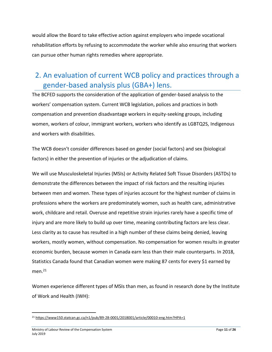would allow the Board to take effective action against employers who impede vocational rehabilitation efforts by refusing to accommodate the worker while also ensuring that workers can pursue other human rights remedies where appropriate.

## 2. An evaluation of current WCB policy and practices through a gender-based analysis plus (GBA+) lens.

The BCFED supports the consideration of the application of gender-based analysis to the workers' compensation system. Current WCB legislation, polices and practices in both compensation and prevention disadvantage workers in equity-seeking groups, including women, workers of colour, immigrant workers, workers who identify as LGBTQ2S, Indigenous and workers with disabilities.

The WCB doesn't consider differences based on gender (social factors) and sex (biological factors) in either the prevention of injuries or the adjudication of claims.

We will use Musculoskeletal Injuries (MSIs) or Activity Related Soft Tissue Disorders (ASTDs) to demonstrate the differences between the impact of risk factors and the resulting injuries between men and women. These types of injuries account for the highest number of claims in professions where the workers are predominately women, such as health care, administrative work, childcare and retail. Overuse and repetitive strain injuries rarely have a specific time of injury and are more likely to build up over time, meaning contributing factors are less clear. Less clarity as to cause has resulted in a high number of these claims being denied, leaving workers, mostly women, without compensation. No compensation for women results in greater economic burden, because women in Canada earn less than their male counterparts. In 2018, Statistics Canada found that Canadian women were making 87 cents for every \$1 earned by men.<sup>21</sup>

Women experience different types of MSIs than men, as found in research done by the Institute of Work and Health (IWH):

<sup>21</sup> <https://www150.statcan.gc.ca/n1/pub/89-28-0001/2018001/article/00010-eng.htm?HPA=1>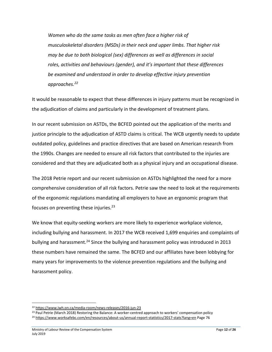*Women who do the same tasks as men often face a higher risk of musculoskeletal disorders (MSDs) in their neck and upper limbs. That higher risk may be due to both biological (sex) differences as well as differences in social roles, activities and behaviours (gender), and it's important that these differences be examined and understood in order to develop effective injury prevention approaches.<sup>22</sup>*

It would be reasonable to expect that these differences in injury patterns must be recognized in the adjudication of claims and particularly in the development of treatment plans.

In our recent submission on ASTDs, the BCFED pointed out the application of the merits and justice principle to the adjudication of ASTD claims is critical. The WCB urgently needs to update outdated policy, guidelines and practice directives that are based on American research from the 1990s. Changes are needed to ensure all risk factors that contributed to the injuries are considered and that they are adjudicated both as a physical injury and an occupational disease.

The 2018 Petrie report and our recent submission on ASTDs highlighted the need for a more comprehensive consideration of all risk factors. Petrie saw the need to look at the requirements of the ergonomic regulations mandating all employers to have an ergonomic program that focuses on preventing these injuries.<sup>23</sup>

We know that equity-seeking workers are more likely to experience workplace violence, including bullying and harassment. In 2017 the WCB received 1,699 enquiries and complaints of bullying and harassment.<sup>24</sup> Since the bullying and harassment policy was introduced in 2013 these numbers have remained the same. The BCFED and our affiliates have been lobbying for many years for improvements to the violence prevention regulations and the bullying and harassment policy.

<sup>22</sup> <https://www.iwh.on.ca/media-room/news-releases/2016-jun-23>

<sup>&</sup>lt;sup>23</sup> Paul Petrie (March 2018) Restoring the Balance: A worker-centred approach to workers' compensation policy

<sup>24</sup> <https://www.worksafebc.com/en/resources/about-us/annual-report-statistics/2017-stats?lang=en> Page 76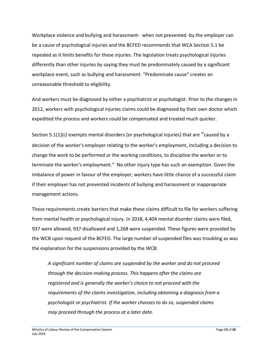Workplace violence and bullying and harassment- when not prevented -by the employer can be a cause of psychological injuries and the BCFED recommends that WCA Section 5.1 be repealed as it limits benefits for these injuries. The legislation treats psychological injuries differently than other injuries by saying they must be predominately caused by a significant workplace event, such as bullying and harassment. "Predominate cause" creates an unreasonable threshold to eligibility.

And workers must be diagnosed by either a psychiatrist or psychologist. Prior to the changes in 2012, workers with psychological injuries claims could be diagnosed by their own doctor which expedited the process and workers could be compensated and treated much quicker.

Section 5.1(1)(c) exempts mental disorders [or psychological injuries] that are "caused by a decision of the worker's employer relating to the worker's employment, including a decision to change the work to be performed or the working conditions, to discipline the worker or to terminate the worker's employment." No other injury type has such an exemption. Given the imbalance of power in favour of the employer, workers have little chance of a successful claim if their employer has not prevented incidents of bullying and harassment or inappropriate management actions.

These requirements create barriers that make these claims difficult to file for workers suffering from mental health or psychological injury. In 2018, 4,404 mental disorder claims were filed, 937 were allowed, 937 disallowed and 1,268 were suspended. These figures were provided by the WCB upon request of the BCFED. The large number of suspended files was troubling as was the explanation for the suspensions provided by the WCB:

*A significant number of claims are suspended by the worker and do not proceed through the decision-making process. This happens after the claims are registered and is generally the worker's choice to not proceed with the requirements of the claims investigation, including obtaining a diagnosis from a psychologist or psychiatrist. If the worker chooses to do so, suspended claims may proceed through the process at a later date.*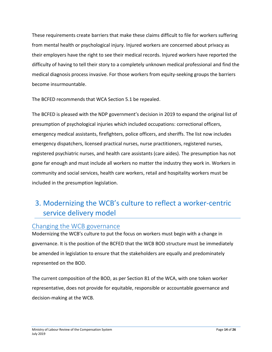These requirements create barriers that make these claims difficult to file for workers suffering from mental health or psychological injury. Injured workers are concerned about privacy as their employers have the right to see their medical records. Injured workers have reported the difficulty of having to tell their story to a completely unknown medical professional and find the medical diagnosis process invasive. For those workers from equity-seeking groups the barriers become insurmountable.

The BCFED recommends that WCA Section 5.1 be repealed.

The BCFED is pleased with the NDP government's decision in 2019 to expand the original list of presumption of psychological injuries which included occupations: correctional officers, emergency medical assistants, firefighters, police officers, and sheriffs. The list now includes emergency dispatchers, licensed practical nurses, nurse practitioners, registered nurses, registered psychiatric nurses, and health care assistants (care aides). The presumption has not gone far enough and must include all workers no matter the industry they work in. Workers in community and social services, health care workers, retail and hospitality workers must be included in the presumption legislation.

## 3. Modernizing the WCB's culture to reflect a worker-centric service delivery model

#### Changing the WCB governance

Modernizing the WCB's culture to put the focus on workers must begin with a change in governance. It is the position of the BCFED that the WCB BOD structure must be immediately be amended in legislation to ensure that the stakeholders are equally and predominately represented on the BOD.

The current composition of the BOD, as per Section 81 of the WCA, with one token worker representative, does not provide for equitable, responsible or accountable governance and decision-making at the WCB.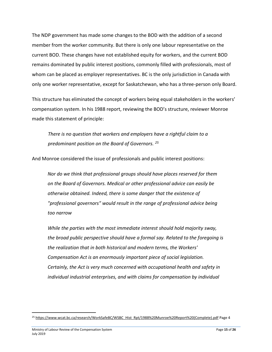The NDP government has made some changes to the BOD with the addition of a second member from the worker community. But there is only one labour representative on the current BOD. These changes have not established equity for workers, and the current BOD remains dominated by public interest positions, commonly filled with professionals, most of whom can be placed as employer representatives. BC is the only jurisdiction in Canada with only one worker representative, except for Saskatchewan, who has a three-person only Board.

This structure has eliminated the concept of workers being equal stakeholders in the workers' compensation system. In his 1988 report, reviewing the BOD's structure, reviewer Monroe made this statement of principle:

*There is no question that workers and employers have a rightful claim to a predominant position on the Board of Governors. <sup>25</sup>*

And Monroe considered the issue of professionals and public interest positions:

*Nor do we think that professional groups should have places reserved for them on the Board of Governors. Medical or other professional advice can easily be otherwise obtained. Indeed, there is some danger that the existence of "professional governors" would result in the range of professional advice being too narrow*

*While the parties with the most immediate interest should hold majority sway, the broad public perspective should have a formal say. Related to the foregoing is the realization that in both historical and modern terms, the Workers' Compensation Act is an enormously important piece of social legislation. Certainly, the Act is very much concerned with occupational health and safety in individual industrial enterprises, and with claims for compensation by individual* 

<sup>&</sup>lt;sup>25</sup> [https://www.wcat.bc.ca/research/WorkSafeBC/WSBC\\_Hist\\_Rpt/1988%20Munroe%20Report%20\(Complete\).pdf](https://www.wcat.bc.ca/research/WorkSafeBC/WSBC_Hist_Rpt/1988%20Munroe%20Report%20(Complete).pdf) Page 4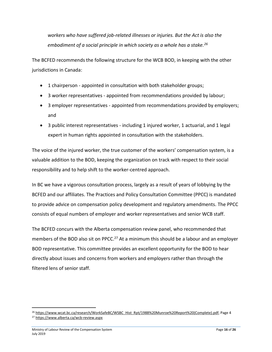*workers who have suffered job-related illnesses or injuries. But the Act is also the embodiment of a social principle in which society as a whole has a stake.<sup>26</sup>*

The BCFED recommends the following structure for the WCB BOD, in keeping with the other jurisdictions in Canada:

- 1 chairperson appointed in consultation with both stakeholder groups;
- 3 worker representatives appointed from recommendations provided by labour;
- 3 employer representatives appointed from recommendations provided by employers; and
- 3 public interest representatives including 1 injured worker, 1 actuarial, and 1 legal expert in human rights appointed in consultation with the stakeholders.

The voice of the injured worker, the true customer of the workers' compensation system, is a valuable addition to the BOD, keeping the organization on track with respect to their social responsibility and to help shift to the worker-centred approach.

In BC we have a vigorous consultation process, largely as a result of years of lobbying by the BCFED and our affiliates. The Practices and Policy Consultation Committee (PPCC) is mandated to provide advice on compensation policy development and regulatory amendments. The PPCC consists of equal numbers of employer and worker representatives and senior WCB staff.

The BCFED concurs with the Alberta compensation review panel, who recommended that members of the BOD also sit on PPCC.<sup>27</sup> At a minimum this should be a labour and an employer BOD representative. This committee provides an excellent opportunity for the BOD to hear directly about issues and concerns from workers and employers rather than through the filtered lens of senior staff.

<sup>&</sup>lt;sup>26</sup> [https://www.wcat.bc.ca/research/WorkSafeBC/WSBC\\_Hist\\_Rpt/1988%20Munroe%20Report%20\(Complete\).pdf,](https://www.wcat.bc.ca/research/WorkSafeBC/WSBC_Hist_Rpt/1988%20Munroe%20Report%20(Complete).pdf) Page 4 <sup>27</sup> <https://www.alberta.ca/wcb-review.aspx>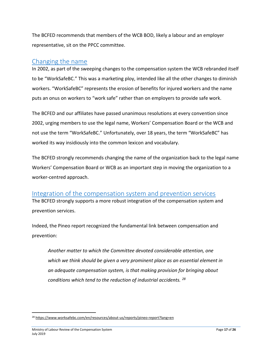The BCFED recommends that members of the WCB BOD, likely a labour and an employer representative, sit on the PPCC committee.

#### Changing the name

In 2002, as part of the sweeping changes to the compensation system the WCB rebranded itself to be "WorkSafeBC." This was a marketing ploy, intended like all the other changes to diminish workers. "WorkSafeBC" represents the erosion of benefits for injured workers and the name puts an onus on workers to "work safe" rather than on employers to provide safe work.

The BCFED and our affiliates have passed unanimous resolutions at every convention since 2002, urging members to use the legal name, Workers' Compensation Board or the WCB and not use the term "WorkSafeBC." Unfortunately, over 18 years, the term "WorkSafeBC" has worked its way insidiously into the common lexicon and vocabulary.

The BCFED strongly recommends changing the name of the organization back to the legal name Workers' Compensation Board or WCB as an important step in moving the organization to a worker-centred approach.

#### Integration of the compensation system and prevention services

The BCFED strongly supports a more robust integration of the compensation system and prevention services.

Indeed, the Pineo report recognized the fundamental link between compensation and prevention:

*Another matter to which the Committee devoted considerable attention, one which we think should be given a very prominent place as an essential element in an adequate compensation system, is that making provision for bringing about conditions which tend to the reduction of industrial accidents. <sup>28</sup>*

<sup>28</sup> <https://www.worksafebc.com/en/resources/about-us/reports/pineo-report?lang=en>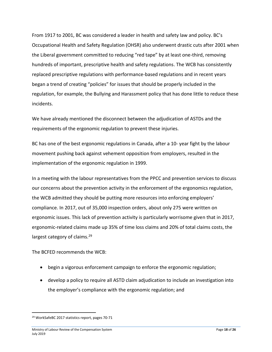From 1917 to 2001, BC was considered a leader in health and safety law and policy. BC's Occupational Health and Safety Regulation (OHSR) also underwent drastic cuts after 2001 when the Liberal government committed to reducing "red tape" by at least one-third, removing hundreds of important, prescriptive health and safety regulations. The WCB has consistently replaced prescriptive regulations with performance-based regulations and in recent years began a trend of creating "policies" for issues that should be properly included in the regulation, for example, the Bullying and Harassment policy that has done little to reduce these incidents.

We have already mentioned the disconnect between the adjudication of ASTDs and the requirements of the ergonomic regulation to prevent these injuries.

BC has one of the best ergonomic regulations in Canada, after a 10- year fight by the labour movement pushing back against vehement opposition from employers, resulted in the implementation of the ergonomic regulation in 1999.

In a meeting with the labour representatives from the PPCC and prevention services to discuss our concerns about the prevention activity in the enforcement of the ergonomics regulation, the WCB admitted they should be putting more resources into enforcing employers' compliance. In 2017, out of 35,000 inspection orders, about only 275 were written on ergonomic issues. This lack of prevention activity is particularly worrisome given that in 2017, ergonomic-related claims made up 35% of time loss claims and 20% of total claims costs, the largest category of claims.<sup>29</sup>

The BCFED recommends the WCB:

- begin a vigorous enforcement campaign to enforce the ergonomic regulation;
- develop a policy to require all ASTD claim adjudication to include an investigation into the employer's compliance with the ergonomic regulation; and

<sup>29</sup> WorkSafeBC 2017 statistics report, pages 70-71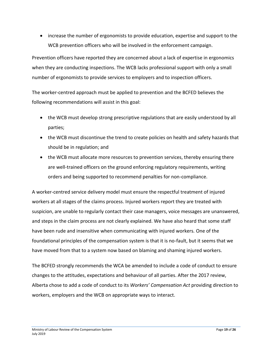• increase the number of ergonomists to provide education, expertise and support to the WCB prevention officers who will be involved in the enforcement campaign.

Prevention officers have reported they are concerned about a lack of expertise in ergonomics when they are conducting inspections. The WCB lacks professional support with only a small number of ergonomists to provide services to employers and to inspection officers.

The worker-centred approach must be applied to prevention and the BCFED believes the following recommendations will assist in this goal:

- the WCB must develop strong prescriptive regulations that are easily understood by all parties;
- the WCB must discontinue the trend to create policies on health and safety hazards that should be in regulation; and
- the WCB must allocate more resources to prevention services, thereby ensuring there are well-trained officers on the ground enforcing regulatory requirements, writing orders and being supported to recommend penalties for non-compliance.

A worker-centred service delivery model must ensure the respectful treatment of injured workers at all stages of the claims process. Injured workers report they are treated with suspicion, are unable to regularly contact their case managers, voice messages are unanswered, and steps in the claim process are not clearly explained. We have also heard that some staff have been rude and insensitive when communicating with injured workers. One of the foundational principles of the compensation system is that it is no-fault, but it seems that we have moved from that to a system now based on blaming and shaming injured workers.

The BCFED strongly recommends the WCA be amended to include a code of conduct to ensure changes to the attitudes, expectations and behaviour of all parties. After the 2017 review, Alberta chose to add a code of conduct to its *Workers' Compensation Act* providing direction to workers, employers and the WCB on appropriate ways to interact.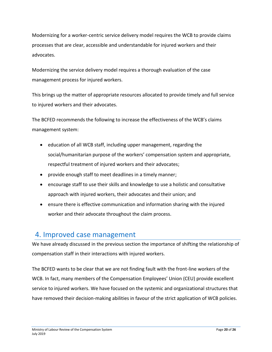Modernizing for a worker-centric service delivery model requires the WCB to provide claims processes that are clear, accessible and understandable for injured workers and their advocates.

Modernizing the service delivery model requires a thorough evaluation of the case management process for injured workers.

This brings up the matter of appropriate resources allocated to provide timely and full service to injured workers and their advocates.

The BCFED recommends the following to increase the effectiveness of the WCB's claims management system:

- education of all WCB staff, including upper management, regarding the social/humanitarian purpose of the workers' compensation system and appropriate, respectful treatment of injured workers and their advocates;
- provide enough staff to meet deadlines in a timely manner;
- encourage staff to use their skills and knowledge to use a holistic and consultative approach with injured workers, their advocates and their union; and
- ensure there is effective communication and information sharing with the injured worker and their advocate throughout the claim process.

## 4. Improved case management

We have already discussed in the previous section the importance of shifting the relationship of compensation staff in their interactions with injured workers.

The BCFED wants to be clear that we are not finding fault with the front-line workers of the WCB. In fact, many members of the Compensation Employees' Union (CEU) provide excellent service to injured workers. We have focused on the systemic and organizational structures that have removed their decision-making abilities in favour of the strict application of WCB policies.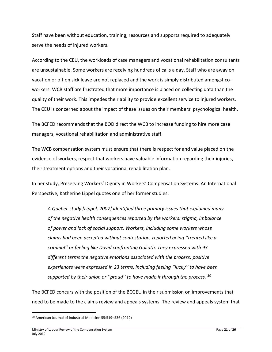Staff have been without education, training, resources and supports required to adequately serve the needs of injured workers.

According to the CEU, the workloads of case managers and vocational rehabilitation consultants are unsustainable. Some workers are receiving hundreds of calls a day. Staff who are away on vacation or off on sick leave are not replaced and the work is simply distributed amongst coworkers. WCB staff are frustrated that more importance is placed on collecting data than the quality of their work. This impedes their ability to provide excellent service to injured workers. The CEU is concerned about the impact of these issues on their members' psychological health.

The BCFED recommends that the BOD direct the WCB to increase funding to hire more case managers, vocational rehabilitation and administrative staff.

The WCB compensation system must ensure that there is respect for and value placed on the evidence of workers, respect that workers have valuable information regarding their injuries, their treatment options and their vocational rehabilitation plan.

In her study, Preserving Workers' Dignity in Workers' Compensation Systems: An International Perspective, Katherine Lippel quotes one of her former studies:

*A Quebec study [Lippel, 2007] identified three primary issues that explained many of the negative health consequences reported by the workers: stigma, imbalance of power and lack of social support. Workers, including some workers whose claims had been accepted without contestation, reported being ''treated like a criminal'' or feeling like David confronting Goliath. They expressed with 93 different terms the negative emotions associated with the process; positive experiences were expressed in 23 terms, including feeling ''lucky'' to have been supported by their union or ''proud'' to have made it through the process. <sup>30</sup>*

The BCFED concurs with the position of the BCGEU in their submission on improvements that need to be made to the claims review and appeals systems. The review and appeals system that

<sup>30</sup> American Journal of Industrial Medicine 55:519–536 (2012)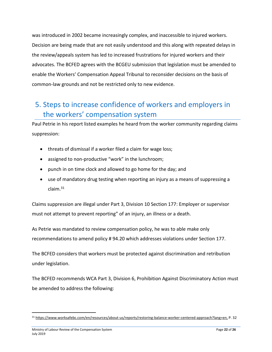was introduced in 2002 became increasingly complex, and inaccessible to injured workers. Decision are being made that are not easily understood and this along with repeated delays in the review/appeals system has led to increased frustrations for injured workers and their advocates. The BCFED agrees with the BCGEU submission that legislation must be amended to enable the Workers' Compensation Appeal Tribunal to reconsider decisions on the basis of common-law grounds and not be restricted only to new evidence.

# 5. Steps to increase confidence of workers and employers in the workers' compensation system

Paul Petrie in his report listed examples he heard from the worker community regarding claims suppression:

- threats of dismissal if a worker filed a claim for wage loss;
- assigned to non-productive "work" in the lunchroom;
- punch in on time clock and allowed to go home for the day; and
- use of mandatory drug testing when reporting an injury as a means of suppressing a claim.<sup>31</sup>

Claims suppression are illegal under Part 3, Division 10 Section 177: Employer or supervisor must not attempt to prevent reporting" of an injury, an illness or a death.

As Petrie was mandated to review compensation policy, he was to able make only recommendations to amend policy # 94.20 which addresses violations under Section 177.

The BCFED considers that workers must be protected against discrimination and retribution under legislation.

The BCFED recommends WCA Part 3, Division 6, Prohibition Against Discriminatory Action must be amended to address the following:

<sup>31</sup> [https://www.worksafebc.com/en/resources/about-us/reports/restoring-balance-worker-centered-approach?lang=en,](https://www.worksafebc.com/en/resources/about-us/reports/restoring-balance-worker-centered-approach?lang=en) P. 32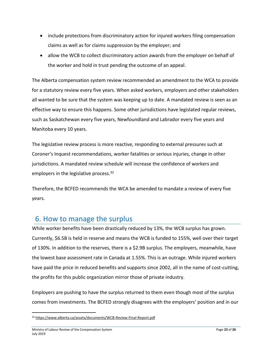- include protections from discriminatory action for injured workers filing compensation claims as well as for claims suppression by the employer; and
- allow the WCB to collect discriminatory action awards from the employer on behalf of the worker and hold in trust pending the outcome of an appeal.

The Alberta compensation system review recommended an amendment to the WCA to provide for a statutory review every five years. When asked workers, employers and other stakeholders all wanted to be sure that the system was keeping up to date. A mandated review is seen as an effective way to ensure this happens. Some other jurisdictions have legislated regular reviews, such as Saskatchewan every five years, Newfoundland and Labrador every five years and Manitoba every 10 years.

The legislative review process is more reactive, responding to external pressures such at Coroner's Inquest recommendations, worker fatalities or serious injuries, change in other jurisdictions. A mandated review schedule will increase the confidence of workers and employers in the legislative process.<sup>32</sup>

Therefore, the BCFED recommends the WCA be amended to mandate a review of every five years.

## 6. How to manage the surplus

While worker benefits have been drastically reduced by 13%, the WCB surplus has grown. Currently, \$6.5B is held in reserve and means the WCB is funded to 155%, well over their target of 130%. In addition to the reserves, there is a \$2.9B surplus. The employers, meanwhile, have the lowest base assessment rate in Canada at 1.55%. This is an outrage. While injured workers have paid the price in reduced benefits and supports since 2002, all in the name of cost-cutting, the profits for this public organization mirror those of private industry.

Employers are pushing to have the surplus returned to them even though most of the surplus comes from investments. The BCFED strongly disagrees with the employers' position and in our

<sup>32</sup> <https://www.alberta.ca/assets/documents/WCB-Review-Final-Report.pdf>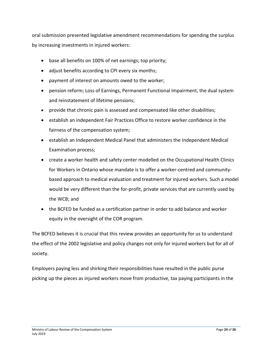oral submission presented legislative amendment recommendations for spending the surplus by increasing investments in injured workers:

- base all benefits on 100% of net earnings; top priority;
- adjust benefits according to CPI every six months;
- payment of interest on amounts owed to the worker;
- pension reform; Loss of Earnings, Permanent Functional Impairment, the dual system and reinstatement of lifetime pensions;
- provide that chronic pain is assessed and compensated like other disabilities;
- establish an independent Fair Practices Office to restore worker confidence in the fairness of the compensation system;
- establish an Independent Medical Panel that administers the Independent Medical Examination process;
- create a worker health and safety center modelled on the Occupational Health Clinics for Workers in Ontario whose mandate is to offer a worker-centred and communitybased approach to medical evaluation and treatment for injured workers. Such a model would be very different than the for-profit, private services that are currently used by the WCB; and
- the BCFED be funded as a certification partner in order to add balance and worker equity in the oversight of the COR program.

The BCFED believes it is crucial that this review provides an opportunity for us to understand the effect of the 2002 legislative and policy changes not only for injured workers but for all of society.

Employers paying less and shirking their responsibilities have resulted in the public purse picking up the pieces as injured workers move from productive, tax paying participants in the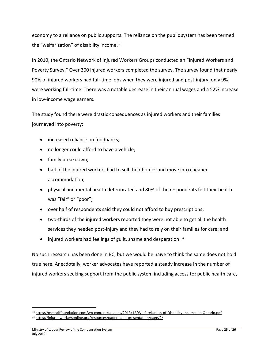economy to a reliance on public supports. The reliance on the public system has been termed the "welfarization" of disability income.<sup>33</sup>

In 2010, the Ontario Network of Injured Workers Groups conducted an "Injured Workers and Poverty Survey." Over 300 injured workers completed the survey. The survey found that nearly 90% of injured workers had full-time jobs when they were injured and post-injury, only 9% were working full-time. There was a notable decrease in their annual wages and a 52% increase in low-income wage earners.

The study found there were drastic consequences as injured workers and their families journeyed into poverty:

- increased reliance on foodbanks;
- no longer could afford to have a vehicle;
- family breakdown;
- half of the injured workers had to sell their homes and move into cheaper accommodation;
- physical and mental health deteriorated and 80% of the respondents felt their health was "fair" or "poor";
- over half of respondents said they could not afford to buy prescriptions;
- two-thirds of the injured workers reported they were not able to get all the health services they needed post-injury and they had to rely on their families for care; and
- injured workers had feelings of guilt, shame and desperation.<sup>34</sup>

No such research has been done in BC, but we would be naïve to think the same does not hold true here. Anecdotally, worker advocates have reported a steady increase in the number of injured workers seeking support from the public system including access to: public health care,

<sup>33</sup> <https://metcalffoundation.com/wp-content/uploads/2013/12/Welfareization-of-Disability-Incomes-in-Ontario.pdf>

<sup>34</sup> <https://injuredworkersonline.org/resources/papers-and-presentation/page/2/>